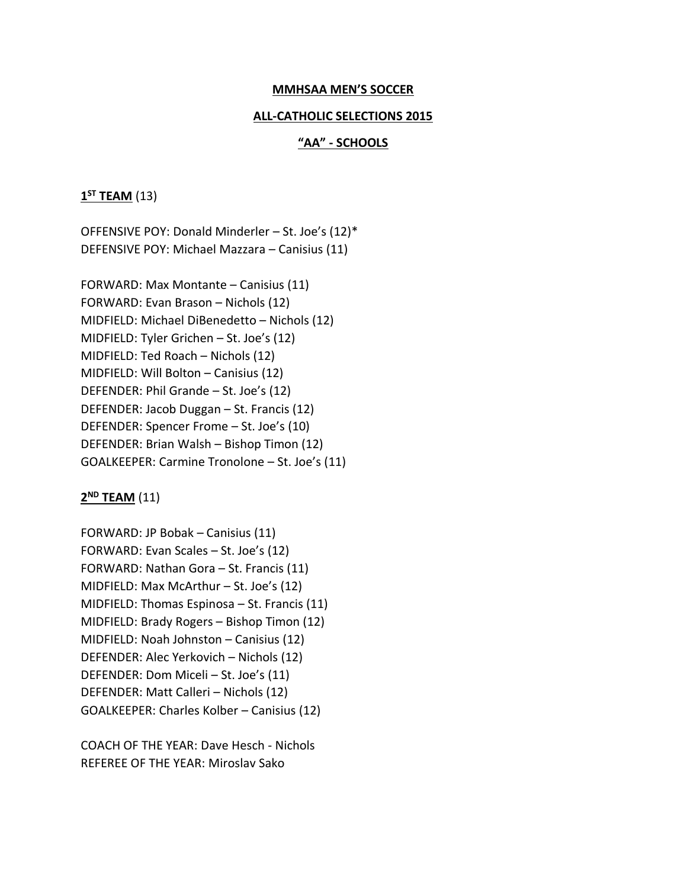#### **MMHSAA MEN'S SOCCER**

#### **ALL-CATHOLIC SELECTIONS 2015**

#### **"AA" - SCHOOLS**

## **1 ST TEAM** (13)

OFFENSIVE POY: Donald Minderler – St. Joe's (12)\* DEFENSIVE POY: Michael Mazzara – Canisius (11)

FORWARD: Max Montante – Canisius (11) FORWARD: Evan Brason – Nichols (12) MIDFIELD: Michael DiBenedetto – Nichols (12) MIDFIELD: Tyler Grichen – St. Joe's (12) MIDFIELD: Ted Roach – Nichols (12) MIDFIELD: Will Bolton – Canisius (12) DEFENDER: Phil Grande – St. Joe's (12) DEFENDER: Jacob Duggan – St. Francis (12) DEFENDER: Spencer Frome – St. Joe's (10) DEFENDER: Brian Walsh – Bishop Timon (12) GOALKEEPER: Carmine Tronolone – St. Joe's (11)

## **2 ND TEAM** (11)

FORWARD: JP Bobak – Canisius (11) FORWARD: Evan Scales – St. Joe's (12) FORWARD: Nathan Gora – St. Francis (11) MIDFIELD: Max McArthur – St. Joe's (12) MIDFIELD: Thomas Espinosa – St. Francis (11) MIDFIELD: Brady Rogers – Bishop Timon (12) MIDFIELD: Noah Johnston – Canisius (12) DEFENDER: Alec Yerkovich – Nichols (12) DEFENDER: Dom Miceli – St. Joe's (11) DEFENDER: Matt Calleri – Nichols (12) GOALKEEPER: Charles Kolber – Canisius (12)

COACH OF THE YEAR: Dave Hesch - Nichols REFEREE OF THE YEAR: Miroslav Sako